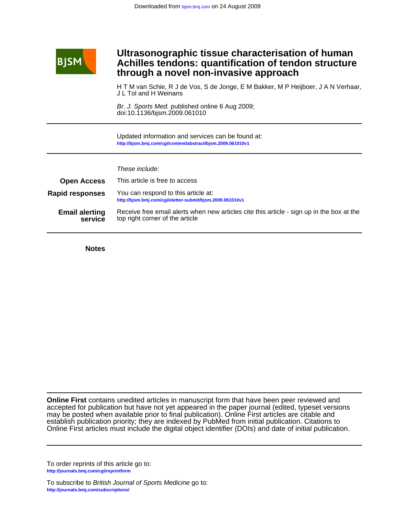

# **through a novel non-invasive approach Achilles tendons: quantification of tendon structure Ultrasonographic tissue characterisation of human**

J L Tol and H Weinans H T M van Schie, R J de Vos, S de Jonge, E M Bakker, M P Heijboer, J A N Verhaar,

doi:10.1136/bjsm.2009.061010 Br. J. Sports Med. published online 6 Aug 2009;

**<http://bjsm.bmj.com/cgi/content/abstract/bjsm.2009.061010v1>** Updated information and services can be found at:

These include:

| <b>Open Access</b>               | This article is free to access                                                                                               |
|----------------------------------|------------------------------------------------------------------------------------------------------------------------------|
| Rapid responses                  | You can respond to this article at:<br>http://bism.bmj.com/cgi/eletter-submit/bism.2009.061010v1                             |
| <b>Email alerting</b><br>service | Receive free email alerts when new articles cite this article - sign up in the box at the<br>top right corner of the article |

**Notes**

Online First articles must include the digital object identifier (DOIs) and date of initial publication. establish publication priority; they are indexed by PubMed from initial publication. Citations to may be posted when available prior to final publication). Online First articles are citable and accepted for publication but have not yet appeared in the paper journal (edited, typeset versions **Online First** contains unedited articles in manuscript form that have been peer reviewed and

**<http://journals.bmj.com/cgi/reprintform>** To order reprints of this article go to:

**<http://journals.bmj.com/subscriptions/>** To subscribe to British Journal of Sports Medicine go to: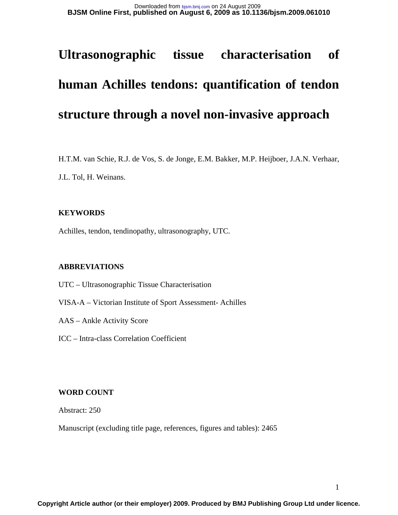# **Ultrasonographic tissue characterisation of human Achilles tendons: quantification of tendon structure through a novel non-invasive approach**

H.T.M. van Schie, R.J. de Vos, S. de Jonge, E.M. Bakker, M.P. Heijboer, J.A.N. Verhaar, J.L. Tol, H. Weinans.

# **KEYWORDS**

Achilles, tendon, tendinopathy, ultrasonography, UTC.

# **ABBREVIATIONS**

- UTC Ultrasonographic Tissue Characterisation
- VISA-A Victorian Institute of Sport Assessment- Achilles
- AAS Ankle Activity Score
- ICC Intra-class Correlation Coefficient

# **WORD COUNT**

Abstract: 250

Manuscript (excluding title page, references, figures and tables): 2465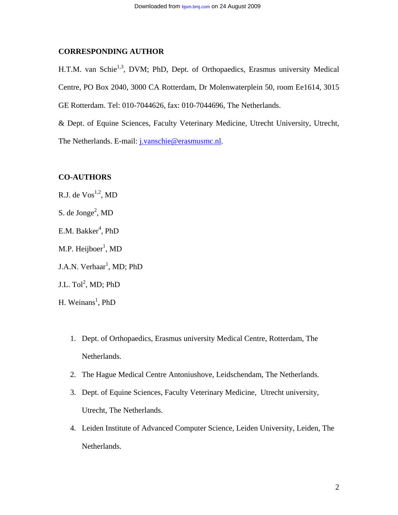# **CORRESPONDING AUTHOR**

H.T.M. van Schie<sup>1,3</sup>, DVM; PhD, Dept. of Orthopaedics, Erasmus university Medical Centre, PO Box 2040, 3000 CA Rotterdam, Dr Molenwaterplein 50, room Ee1614, 3015 GE Rotterdam. Tel: 010-7044626, fax: 010-7044696, The Netherlands.

& Dept. of Equine Sciences, Faculty Veterinary Medicine, Utrecht University, Utrecht, The Netherlands. E-mail: *j.vanschie@erasmusmc.nl.* 

# **CO-AUTHORS**

- R.J. de  $\mathrm{Vos}^{1,2}$ , MD
- S. de Jonge<sup>2</sup>, MD
- E.M. Bakker<sup>4</sup>, PhD

M.P. Heijboer<sup>1</sup>, MD

J.A.N. Verhaar<sup>1</sup>, MD; PhD

J.L.  ${\rm Tol}^2, {\rm MD}$ ; PhD

- H. Weinans<sup>1</sup>, PhD
	- 1. Dept. of Orthopaedics, Erasmus university Medical Centre, Rotterdam, The Netherlands.
	- 2. The Hague Medical Centre Antoniushove, Leidschendam, The Netherlands.
	- 3. Dept. of Equine Sciences, Faculty Veterinary Medicine, Utrecht university, Utrecht, The Netherlands.
	- 4. Leiden Institute of Advanced Computer Science, Leiden University, Leiden, The Netherlands.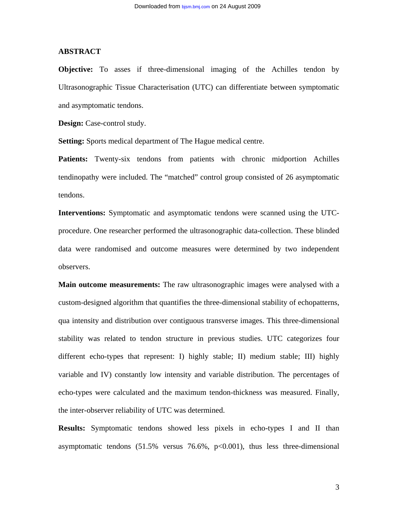# **ABSTRACT**

**Objective:** To asses if three-dimensional imaging of the Achilles tendon by Ultrasonographic Tissue Characterisation (UTC) can differentiate between symptomatic and asymptomatic tendons.

**Design:** Case-control study.

**Setting:** Sports medical department of The Hague medical centre.

**Patients:** Twenty-six tendons from patients with chronic midportion Achilles tendinopathy were included. The "matched" control group consisted of 26 asymptomatic tendons.

**Interventions:** Symptomatic and asymptomatic tendons were scanned using the UTCprocedure. One researcher performed the ultrasonographic data-collection. These blinded data were randomised and outcome measures were determined by two independent observers.

**Main outcome measurements:** The raw ultrasonographic images were analysed with a custom-designed algorithm that quantifies the three-dimensional stability of echopatterns, qua intensity and distribution over contiguous transverse images. This three-dimensional stability was related to tendon structure in previous studies. UTC categorizes four different echo-types that represent: I) highly stable; II) medium stable; III) highly variable and IV) constantly low intensity and variable distribution. The percentages of echo-types were calculated and the maximum tendon-thickness was measured. Finally, the inter-observer reliability of UTC was determined.

**Results:** Symptomatic tendons showed less pixels in echo-types I and II than asymptomatic tendons  $(51.5\%$  versus 76.6%, p<0.001), thus less three-dimensional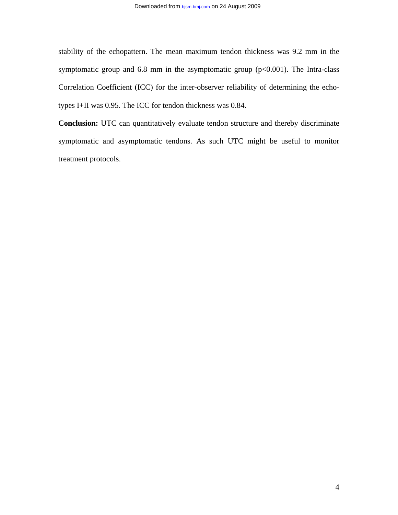stability of the echopattern. The mean maximum tendon thickness was 9.2 mm in the symptomatic group and  $6.8$  mm in the asymptomatic group ( $p<0.001$ ). The Intra-class Correlation Coefficient (ICC) for the inter-observer reliability of determining the echotypes I+II was 0.95. The ICC for tendon thickness was 0.84.

**Conclusion:** UTC can quantitatively evaluate tendon structure and thereby discriminate symptomatic and asymptomatic tendons. As such UTC might be useful to monitor treatment protocols.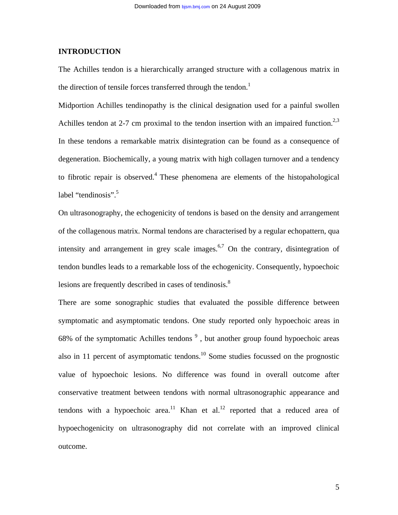# **INTRODUCTION**

The Achilles tendon is a hierarchically arranged structure with a collagenous matrix in the direction of tensile forces transferred through the tendon.<sup>1</sup>

Midportion Achilles tendinopathy is the clinical designation used for a painful swollen Achilles tendon at 2-7 cm proximal to the tendon insertion with an impaired function.<sup>2,3</sup> In these tendons a remarkable matrix disintegration can be found as a consequence of degeneration. Biochemically, a young matrix with high collagen turnover and a tendency to fibrotic repair is observed.<sup>4</sup> These phenomena are elements of the histopahological label "tendinosis".<sup>5</sup>

On ultrasonography, the echogenicity of tendons is based on the density and arrangement of the collagenous matrix. Normal tendons are characterised by a regular echopattern, qua intensity and arrangement in grey scale images.<sup>6,7</sup> On the contrary, disintegration of tendon bundles leads to a remarkable loss of the echogenicity. Consequently, hypoechoic lesions are frequently described in cases of tendinosis.<sup>8</sup>

There are some sonographic studies that evaluated the possible difference between symptomatic and asymptomatic tendons. One study reported only hypoechoic areas in  $68\%$  of the symptomatic Achilles tendons<sup>9</sup>, but another group found hypoechoic areas also in 11 percent of asymptomatic tendons.<sup>10</sup> Some studies focussed on the prognostic value of hypoechoic lesions. No difference was found in overall outcome after conservative treatment between tendons with normal ultrasonographic appearance and tendons with a hypoechoic area.<sup>11</sup> Khan et al.<sup>12</sup> reported that a reduced area of hypoechogenicity on ultrasonography did not correlate with an improved clinical outcome.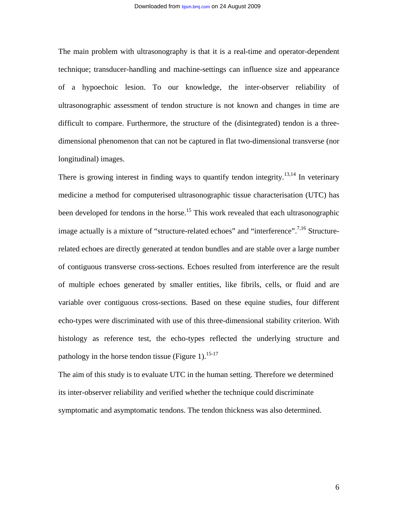The main problem with ultrasonography is that it is a real-time and operator-dependent technique; transducer-handling and machine-settings can influence size and appearance of a hypoechoic lesion. To our knowledge, the inter-observer reliability of ultrasonographic assessment of tendon structure is not known and changes in time are difficult to compare. Furthermore, the structure of the (disintegrated) tendon is a threedimensional phenomenon that can not be captured in flat two-dimensional transverse (nor longitudinal) images.

There is growing interest in finding ways to quantify tendon integrity.<sup>13,14</sup> In veterinary medicine a method for computerised ultrasonographic tissue characterisation (UTC) has been developed for tendons in the horse.<sup>15</sup> This work revealed that each ultrasonographic image actually is a mixture of "structure-related echoes" and "interference".<sup>7,16</sup> Structurerelated echoes are directly generated at tendon bundles and are stable over a large number of contiguous transverse cross-sections. Echoes resulted from interference are the result of multiple echoes generated by smaller entities, like fibrils, cells, or fluid and are variable over contiguous cross-sections. Based on these equine studies, four different echo-types were discriminated with use of this three-dimensional stability criterion. With histology as reference test, the echo-types reflected the underlying structure and pathology in the horse tendon tissue (Figure 1). $15-17$ 

The aim of this study is to evaluate UTC in the human setting. Therefore we determined its inter-observer reliability and verified whether the technique could discriminate symptomatic and asymptomatic tendons. The tendon thickness was also determined.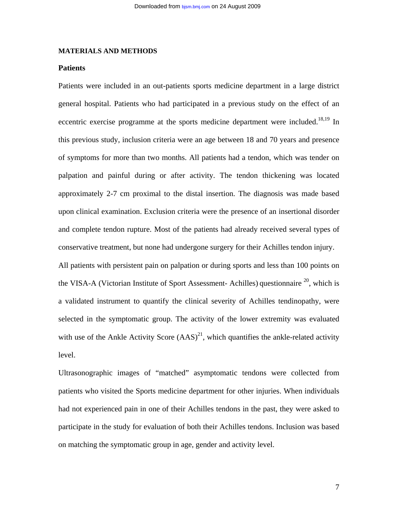# **MATERIALS AND METHODS**

# **Patients**

Patients were included in an out-patients sports medicine department in a large district general hospital. Patients who had participated in a previous study on the effect of an eccentric exercise programme at the sports medicine department were included.<sup>18,19</sup> In this previous study, inclusion criteria were an age between 18 and 70 years and presence of symptoms for more than two months. All patients had a tendon, which was tender on palpation and painful during or after activity. The tendon thickening was located approximately 2-7 cm proximal to the distal insertion. The diagnosis was made based upon clinical examination. Exclusion criteria were the presence of an insertional disorder and complete tendon rupture. Most of the patients had already received several types of conservative treatment, but none had undergone surgery for their Achilles tendon injury. All patients with persistent pain on palpation or during sports and less than 100 points on

the VISA-A (Victorian Institute of Sport Assessment- Achilles) questionnaire  $^{20}$ , which is a validated instrument to quantify the clinical severity of Achilles tendinopathy, were selected in the symptomatic group. The activity of the lower extremity was evaluated with use of the Ankle Activity Score  $(AAS)^{21}$ , which quantifies the ankle-related activity level.

Ultrasonographic images of "matched" asymptomatic tendons were collected from patients who visited the Sports medicine department for other injuries. When individuals had not experienced pain in one of their Achilles tendons in the past, they were asked to participate in the study for evaluation of both their Achilles tendons. Inclusion was based on matching the symptomatic group in age, gender and activity level.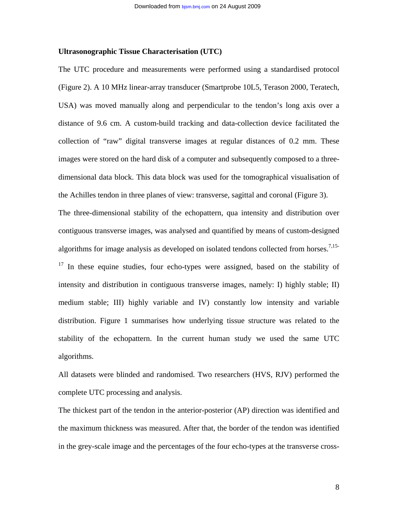# **Ultrasonographic Tissue Characterisation (UTC)**

The UTC procedure and measurements were performed using a standardised protocol (Figure 2). A 10 MHz linear-array transducer (Smartprobe 10L5, Terason 2000, Teratech, USA) was moved manually along and perpendicular to the tendon's long axis over a distance of 9.6 cm. A custom-build tracking and data-collection device facilitated the collection of "raw" digital transverse images at regular distances of 0.2 mm. These images were stored on the hard disk of a computer and subsequently composed to a threedimensional data block. This data block was used for the tomographical visualisation of the Achilles tendon in three planes of view: transverse, sagittal and coronal (Figure 3). The three-dimensional stability of the echopattern, qua intensity and distribution over contiguous transverse images, was analysed and quantified by means of custom-designed algorithms for image analysis as developed on isolated tendons collected from horses.<sup>7,15-</sup> <sup>17</sup> In these equine studies, four echo-types were assigned, based on the stability of intensity and distribution in contiguous transverse images, namely: I) highly stable; II) medium stable; III) highly variable and IV) constantly low intensity and variable distribution. Figure 1 summarises how underlying tissue structure was related to the stability of the echopattern. In the current human study we used the same UTC algorithms.

All datasets were blinded and randomised. Two researchers (HVS, RJV) performed the complete UTC processing and analysis.

The thickest part of the tendon in the anterior-posterior (AP) direction was identified and the maximum thickness was measured. After that, the border of the tendon was identified in the grey-scale image and the percentages of the four echo-types at the transverse cross-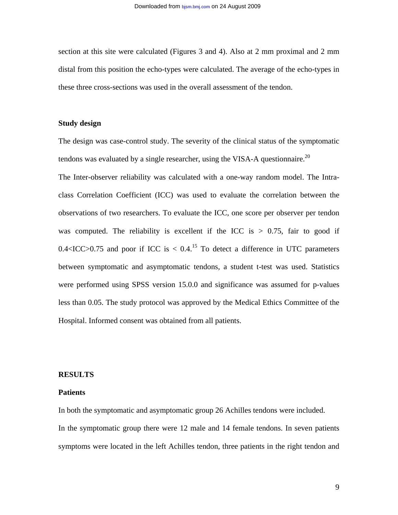section at this site were calculated (Figures 3 and 4). Also at 2 mm proximal and 2 mm distal from this position the echo-types were calculated. The average of the echo-types in these three cross-sections was used in the overall assessment of the tendon.

#### **Study design**

The design was case-control study. The severity of the clinical status of the symptomatic tendons was evaluated by a single researcher, using the VISA-A questionnaire.<sup>20</sup> The Inter-observer reliability was calculated with a one-way random model. The Intraclass Correlation Coefficient (ICC) was used to evaluate the correlation between the observations of two researchers. To evaluate the ICC, one score per observer per tendon was computed. The reliability is excellent if the ICC is  $> 0.75$ , fair to good if 0.4 <ICC $>$ 0.75 and poor if ICC is < 0.4.<sup>15</sup> To detect a difference in UTC parameters between symptomatic and asymptomatic tendons, a student t-test was used. Statistics were performed using SPSS version 15.0.0 and significance was assumed for p-values less than 0.05. The study protocol was approved by the Medical Ethics Committee of the Hospital. Informed consent was obtained from all patients.

#### **RESULTS**

# **Patients**

In both the symptomatic and asymptomatic group 26 Achilles tendons were included. In the symptomatic group there were 12 male and 14 female tendons. In seven patients symptoms were located in the left Achilles tendon, three patients in the right tendon and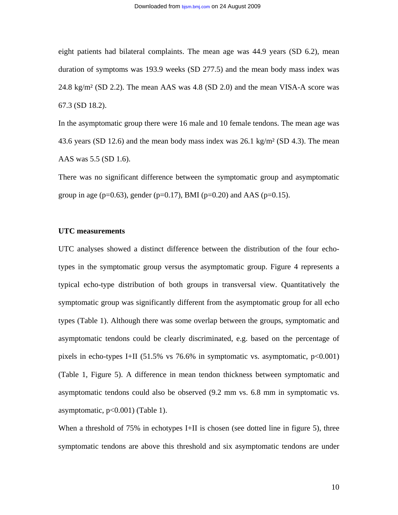eight patients had bilateral complaints. The mean age was 44.9 years (SD 6.2), mean duration of symptoms was 193.9 weeks (SD 277.5) and the mean body mass index was 24.8 kg/m<sup>2</sup> (SD 2.2). The mean AAS was  $4.8$  (SD 2.0) and the mean VISA-A score was 67.3 (SD 18.2).

In the asymptomatic group there were 16 male and 10 female tendons. The mean age was 43.6 years (SD 12.6) and the mean body mass index was 26.1 kg/m² (SD 4.3). The mean AAS was 5.5 (SD 1.6).

There was no significant difference between the symptomatic group and asymptomatic group in age ( $p=0.63$ ), gender ( $p=0.17$ ), BMI ( $p=0.20$ ) and AAS ( $p=0.15$ ).

# **UTC measurements**

UTC analyses showed a distinct difference between the distribution of the four echotypes in the symptomatic group versus the asymptomatic group. Figure 4 represents a typical echo-type distribution of both groups in transversal view. Quantitatively the symptomatic group was significantly different from the asymptomatic group for all echo types (Table 1). Although there was some overlap between the groups, symptomatic and asymptomatic tendons could be clearly discriminated, e.g. based on the percentage of pixels in echo-types I+II (51.5% vs 76.6% in symptomatic vs. asymptomatic, p<0.001) (Table 1, Figure 5). A difference in mean tendon thickness between symptomatic and asymptomatic tendons could also be observed (9.2 mm vs. 6.8 mm in symptomatic vs. asymptomatic, p<0.001) (Table 1).

When a threshold of 75% in echotypes I+II is chosen (see dotted line in figure 5), three symptomatic tendons are above this threshold and six asymptomatic tendons are under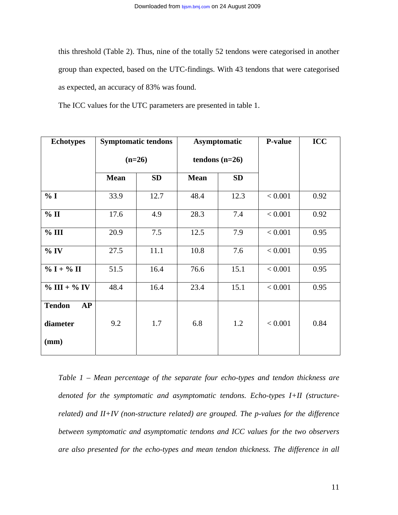this threshold (Table 2). Thus, nine of the totally 52 tendons were categorised in another group than expected, based on the UTC-findings. With 43 tendons that were categorised as expected, an accuracy of 83% was found.

The ICC values for the UTC parameters are presented in table 1.

| <b>Echotypes</b>    |             | <b>Symptomatic tendons</b> | Asymptomatic     |           | <b>P-value</b> | <b>ICC</b> |
|---------------------|-------------|----------------------------|------------------|-----------|----------------|------------|
|                     | $(n=26)$    |                            | tendons $(n=26)$ |           |                |            |
|                     | <b>Mean</b> | <b>SD</b>                  | <b>Mean</b>      | <b>SD</b> |                |            |
| $\%$ I              | 33.9        | 12.7                       | 48.4             | 12.3      | < 0.001        | 0.92       |
| $%$ II              | 17.6        | 4.9                        | 28.3             | 7.4       | < 0.001        | 0.92       |
| $%$ III             | 20.9        | 7.5                        | 12.5             | 7.9       | < 0.001        | 0.95       |
| $%$ IV              | 27.5        | 11.1                       | 10.8             | 7.6       | < 0.001        | 0.95       |
| $\%$ I + $\%$ II    | 51.5        | 16.4                       | 76.6             | 15.1      | < 0.001        | 0.95       |
| $\%$ III + $\%$ IV  | 48.4        | 16.4                       | 23.4             | 15.1      | < 0.001        | 0.95       |
| AP<br><b>Tendon</b> |             |                            |                  |           |                |            |
| diameter            | 9.2         | 1.7                        | 6.8              | 1.2       | < 0.001        | 0.84       |
| (mm)                |             |                            |                  |           |                |            |

*Table 1 – Mean percentage of the separate four echo-types and tendon thickness are denoted for the symptomatic and asymptomatic tendons. Echo-types I+II (structurerelated) and II+IV (non-structure related) are grouped. The p-values for the difference between symptomatic and asymptomatic tendons and ICC values for the two observers are also presented for the echo-types and mean tendon thickness. The difference in all*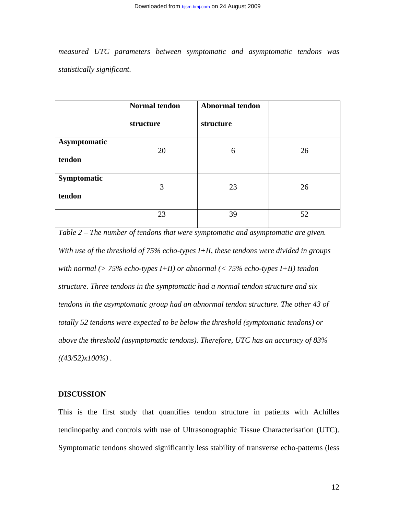*measured UTC parameters between symptomatic and asymptomatic tendons was statistically significant.* 

|                        | <b>Normal tendon</b> | <b>Abnormal tendon</b> |    |
|------------------------|----------------------|------------------------|----|
|                        | structure            | structure              |    |
| Asymptomatic<br>tendon | 20                   | 6                      | 26 |
| Symptomatic<br>tendon  | 3                    | 23                     | 26 |
|                        | 23                   | 39                     | 52 |

*Table 2 – The number of tendons that were symptomatic and asymptomatic are given. With use of the threshold of 75% echo-types I+II, these tendons were divided in groups with normal (> 75% echo-types I+II) or abnormal (< 75% echo-types I+II) tendon structure. Three tendons in the symptomatic had a normal tendon structure and six tendons in the asymptomatic group had an abnormal tendon structure. The other 43 of totally 52 tendons were expected to be below the threshold (symptomatic tendons) or above the threshold (asymptomatic tendons). Therefore, UTC has an accuracy of 83%*   $((43/52)x100\%)$ .

# **DISCUSSION**

This is the first study that quantifies tendon structure in patients with Achilles tendinopathy and controls with use of Ultrasonographic Tissue Characterisation (UTC). Symptomatic tendons showed significantly less stability of transverse echo-patterns (less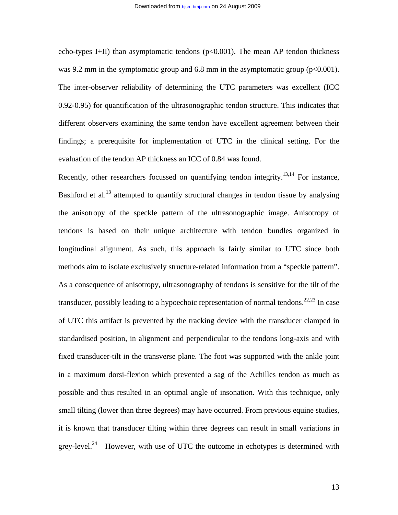echo-types I+II) than asymptomatic tendons  $(p<0.001)$ . The mean AP tendon thickness was 9.2 mm in the symptomatic group and 6.8 mm in the asymptomatic group  $(p<0.001)$ . The inter-observer reliability of determining the UTC parameters was excellent (ICC 0.92-0.95) for quantification of the ultrasonographic tendon structure. This indicates that different observers examining the same tendon have excellent agreement between their findings; a prerequisite for implementation of UTC in the clinical setting. For the evaluation of the tendon AP thickness an ICC of 0.84 was found.

Recently, other researchers focussed on quantifying tendon integrity.<sup>13,14</sup> For instance, Bashford et al.<sup>13</sup> attempted to quantify structural changes in tendon tissue by analysing the anisotropy of the speckle pattern of the ultrasonographic image. Anisotropy of tendons is based on their unique architecture with tendon bundles organized in longitudinal alignment. As such, this approach is fairly similar to UTC since both methods aim to isolate exclusively structure-related information from a "speckle pattern". As a consequence of anisotropy, ultrasonography of tendons is sensitive for the tilt of the transducer, possibly leading to a hypoechoic representation of normal tendons.<sup>22,23</sup> In case of UTC this artifact is prevented by the tracking device with the transducer clamped in standardised position, in alignment and perpendicular to the tendons long-axis and with fixed transducer-tilt in the transverse plane. The foot was supported with the ankle joint in a maximum dorsi-flexion which prevented a sag of the Achilles tendon as much as possible and thus resulted in an optimal angle of insonation. With this technique, only small tilting (lower than three degrees) may have occurred. From previous equine studies, it is known that transducer tilting within three degrees can result in small variations in grey-level.<sup>24</sup> However, with use of UTC the outcome in echotypes is determined with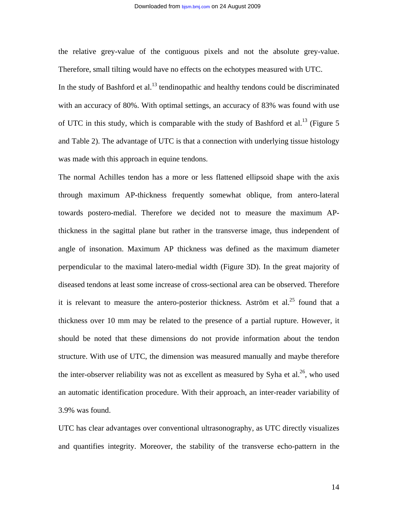the relative grey-value of the contiguous pixels and not the absolute grey-value. Therefore, small tilting would have no effects on the echotypes measured with UTC. In the study of Bashford et al.<sup>13</sup> tendinopathic and healthy tendons could be discriminated with an accuracy of 80%. With optimal settings, an accuracy of 83% was found with use of UTC in this study, which is comparable with the study of Bashford et al.<sup>13</sup> (Figure 5) and Table 2). The advantage of UTC is that a connection with underlying tissue histology was made with this approach in equine tendons.

The normal Achilles tendon has a more or less flattened ellipsoid shape with the axis through maximum AP-thickness frequently somewhat oblique, from antero-lateral towards postero-medial. Therefore we decided not to measure the maximum APthickness in the sagittal plane but rather in the transverse image, thus independent of angle of insonation. Maximum AP thickness was defined as the maximum diameter perpendicular to the maximal latero-medial width (Figure 3D). In the great majority of diseased tendons at least some increase of cross-sectional area can be observed. Therefore it is relevant to measure the antero-posterior thickness. Aström et al.<sup>25</sup> found that a thickness over 10 mm may be related to the presence of a partial rupture. However, it should be noted that these dimensions do not provide information about the tendon structure. With use of UTC, the dimension was measured manually and maybe therefore the inter-observer reliability was not as excellent as measured by Syha et al.<sup>26</sup>, who used an automatic identification procedure. With their approach, an inter-reader variability of 3.9% was found.

UTC has clear advantages over conventional ultrasonography, as UTC directly visualizes and quantifies integrity. Moreover, the stability of the transverse echo-pattern in the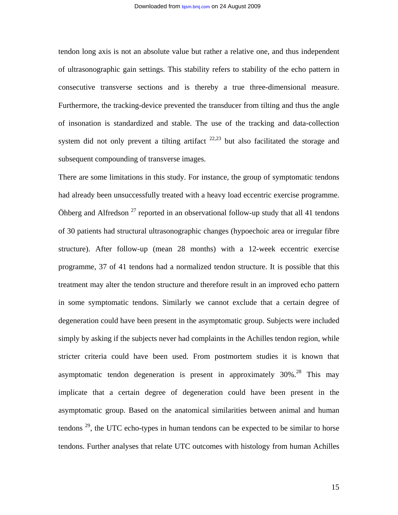tendon long axis is not an absolute value but rather a relative one, and thus independent of ultrasonographic gain settings. This stability refers to stability of the echo pattern in consecutive transverse sections and is thereby a true three-dimensional measure. Furthermore, the tracking-device prevented the transducer from tilting and thus the angle of insonation is standardized and stable. The use of the tracking and data-collection system did not only prevent a tilting artifact  $22,23$  but also facilitated the storage and subsequent compounding of transverse images.

There are some limitations in this study. For instance, the group of symptomatic tendons had already been unsuccessfully treated with a heavy load eccentric exercise programme. Öhberg and Alfredson<sup>27</sup> reported in an observational follow-up study that all 41 tendons of 30 patients had structural ultrasonographic changes (hypoechoic area or irregular fibre structure). After follow-up (mean 28 months) with a 12-week eccentric exercise programme, 37 of 41 tendons had a normalized tendon structure. It is possible that this treatment may alter the tendon structure and therefore result in an improved echo pattern in some symptomatic tendons. Similarly we cannot exclude that a certain degree of degeneration could have been present in the asymptomatic group. Subjects were included simply by asking if the subjects never had complaints in the Achilles tendon region, while stricter criteria could have been used. From postmortem studies it is known that asymptomatic tendon degeneration is present in approximately  $30\%$ <sup>28</sup>. This may implicate that a certain degree of degeneration could have been present in the asymptomatic group. Based on the anatomical similarities between animal and human tendons  $29$ , the UTC echo-types in human tendons can be expected to be similar to horse tendons. Further analyses that relate UTC outcomes with histology from human Achilles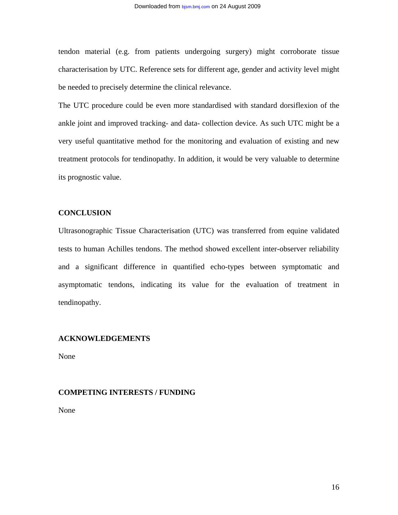tendon material (e.g. from patients undergoing surgery) might corroborate tissue characterisation by UTC. Reference sets for different age, gender and activity level might be needed to precisely determine the clinical relevance.

The UTC procedure could be even more standardised with standard dorsiflexion of the ankle joint and improved tracking- and data- collection device. As such UTC might be a very useful quantitative method for the monitoring and evaluation of existing and new treatment protocols for tendinopathy. In addition, it would be very valuable to determine its prognostic value.

# **CONCLUSION**

Ultrasonographic Tissue Characterisation (UTC) was transferred from equine validated tests to human Achilles tendons. The method showed excellent inter-observer reliability and a significant difference in quantified echo-types between symptomatic and asymptomatic tendons, indicating its value for the evaluation of treatment in tendinopathy.

## **ACKNOWLEDGEMENTS**

None

# **COMPETING INTERESTS / FUNDING**

None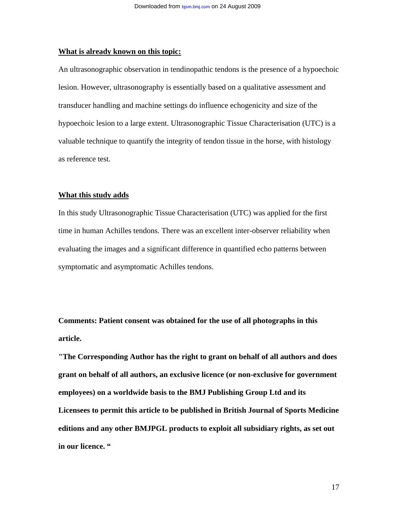# **What is already known on this topic:**

An ultrasonographic observation in tendinopathic tendons is the presence of a hypoechoic lesion. However, ultrasonography is essentially based on a qualitative assessment and transducer handling and machine settings do influence echogenicity and size of the hypoechoic lesion to a large extent. Ultrasonographic Tissue Characterisation (UTC) is a valuable technique to quantify the integrity of tendon tissue in the horse, with histology as reference test.

#### **What this study adds**

In this study Ultrasonographic Tissue Characterisation (UTC) was applied for the first time in human Achilles tendons. There was an excellent inter-observer reliability when evaluating the images and a significant difference in quantified echo patterns between symptomatic and asymptomatic Achilles tendons.

**Comments: Patient consent was obtained for the use of all photographs in this article.** 

**"The Corresponding Author has the right to grant on behalf of all authors and does grant on behalf of all authors, an exclusive licence (or non-exclusive for government employees) on a worldwide basis to the BMJ Publishing Group Ltd and its Licensees to permit this article to be published in British Journal of Sports Medicine editions and any other BMJPGL products to exploit all subsidiary rights, as set out**  in our licence. "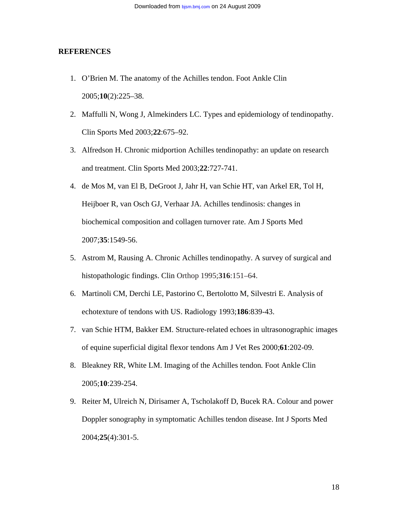## **REFERENCES**

- 1. O'Brien M. The anatomy of the Achilles tendon. Foot Ankle Clin 2005;**10**(2):225–38.
- 2. Maffulli N, Wong J, Almekinders LC. Types and epidemiology of tendinopathy. Clin Sports Med 2003;**22**:675–92.
- 3. Alfredson H. Chronic midportion Achilles tendinopathy: an update on research and treatment. Clin Sports Med 2003;**22**:727-741.
- 4. de Mos M, van El B, DeGroot J, Jahr H, van Schie HT, van Arkel ER, Tol H, Heijboer R, van Osch GJ, Verhaar JA. Achilles tendinosis: changes in biochemical composition and collagen turnover rate. Am J Sports Med 2007;**35**:1549-56.
- 5. Astrom M, Rausing A. Chronic Achilles tendinopathy. A survey of surgical and histopathologic findings. Clin Orthop 1995;**316**:151–64.
- 6. Martinoli CM, Derchi LE, Pastorino C, Bertolotto M, Silvestri E. Analysis of echotexture of tendons with US. Radiology 1993;**186**:839-43.
- 7. van Schie HTM, Bakker EM. Structure-related echoes in ultrasonographic images of equine superficial digital flexor tendons Am J Vet Res 2000;**61**:202-09.
- 8. Bleakney RR, White LM. Imaging of the Achilles tendon*.* Foot Ankle Clin 2005;**10**:239-254.
- 9. Reiter M, Ulreich N, Dirisamer A, Tscholakoff D, Bucek RA. Colour and power Doppler sonography in symptomatic Achilles tendon disease. Int J Sports Med 2004;**25**(4):301-5.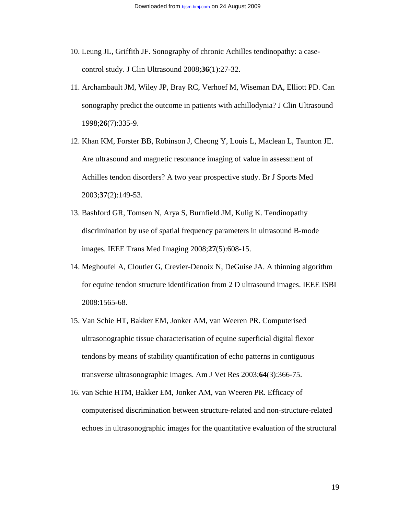- 10. Leung JL, Griffith JF. Sonography of chronic Achilles tendinopathy: a casecontrol study. J Clin Ultrasound 2008;**36**(1):27-32.
- 11. Archambault JM, Wiley JP, Bray RC, Verhoef M, Wiseman DA, Elliott PD. Can sonography predict the outcome in patients with achillodynia? J Clin Ultrasound 1998;**26**(7):335-9.
- 12. Khan KM, Forster BB, Robinson J, Cheong Y, Louis L, Maclean L, Taunton JE. Are ultrasound and magnetic resonance imaging of value in assessment of Achilles tendon disorders? A two year prospective study. Br J Sports Med 2003;**37**(2):149-53.
- 13. Bashford GR, Tomsen N, Arya S, Burnfield JM, Kulig K. Tendinopathy discrimination by use of spatial frequency parameters in ultrasound B-mode images. IEEE Trans Med Imaging 2008;**27**(5):608-15.
- 14. Meghoufel A, Cloutier G, Crevier-Denoix N, DeGuise JA. A thinning algorithm for equine tendon structure identification from 2 D ultrasound images. IEEE ISBI 2008:1565-68.
- 15. Van Schie HT, Bakker EM, Jonker AM, van Weeren PR. Computerised ultrasonographic tissue characterisation of equine superficial digital flexor tendons by means of stability quantification of echo patterns in contiguous transverse ultrasonographic images. Am J Vet Res 2003;**64**(3):366-75.
- 16. van Schie HTM, Bakker EM, Jonker AM, van Weeren PR. Efficacy of computerised discrimination between structure-related and non-structure-related echoes in ultrasonographic images for the quantitative evaluation of the structural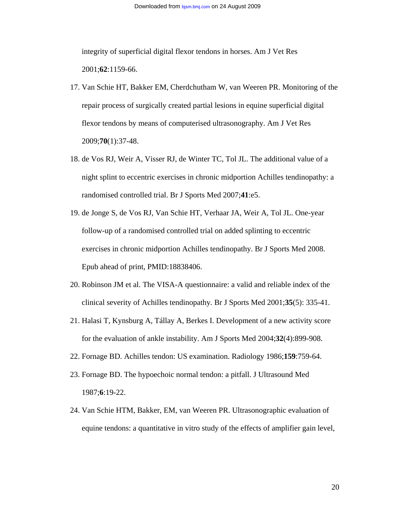integrity of superficial digital flexor tendons in horses. Am J Vet Res 2001;**62**:1159-66.

- 17. Van Schie HT, Bakker EM, Cherdchutham W, van Weeren PR. Monitoring of the repair process of surgically created partial lesions in equine superficial digital flexor tendons by means of computerised ultrasonography. Am J Vet Res 2009;**70**(1):37-48.
- 18. de Vos RJ, Weir A, Visser RJ, de Winter TC, Tol JL. The additional value of a night splint to eccentric exercises in chronic midportion Achilles tendinopathy: a randomised controlled trial. Br J Sports Med 2007;**41**:e5.
- 19. de Jonge S, de Vos RJ, Van Schie HT, Verhaar JA, Weir A, Tol JL. One-year follow-up of a randomised controlled trial on added splinting to eccentric exercises in chronic midportion Achilles tendinopathy. Br J Sports Med 2008. Epub ahead of print, PMID:18838406.
- 20. Robinson JM et al. The VISA-A questionnaire: a valid and reliable index of the clinical severity of Achilles tendinopathy*.* Br J Sports Med 2001;**35**(5): 335-41.
- 21. Halasi T, Kynsburg A, Tállay A, Berkes I. Development of a new activity score for the evaluation of ankle instability. Am J Sports Med 2004;**32**(4):899-908.
- 22. Fornage BD. Achilles tendon: US examination. Radiology 1986;**159**:759-64.
- 23. Fornage BD. The hypoechoic normal tendon: a pitfall. J Ultrasound Med 1987;**6**:19-22.
- 24. Van Schie HTM, Bakker, EM, van Weeren PR. Ultrasonographic evaluation of equine tendons: a quantitative in vitro study of the effects of amplifier gain level,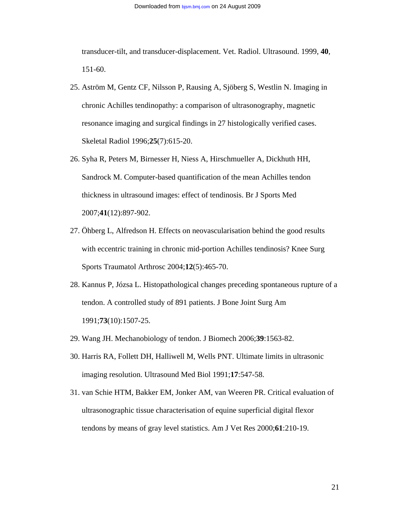transducer-tilt, and transducer-displacement. Vet. Radiol. Ultrasound. 1999, **40**, 151-60.

- 25. Aström M, Gentz CF, Nilsson P, Rausing A, Sjöberg S, Westlin N. Imaging in chronic Achilles tendinopathy: a comparison of ultrasonography, magnetic resonance imaging and surgical findings in 27 histologically verified cases. Skeletal Radiol 1996;**25**(7):615-20.
- 26. Syha R, Peters M, Birnesser H, Niess A, Hirschmueller A, Dickhuth HH, Sandrock M. Computer-based quantification of the mean Achilles tendon thickness in ultrasound images: effect of tendinosis. Br J Sports Med 2007;**41**(12):897-902.
- 27. Öhberg L, Alfredson H. Effects on neovascularisation behind the good results with eccentric training in chronic mid-portion Achilles tendinosis? Knee Surg Sports Traumatol Arthrosc 2004;**12**(5):465-70.
- 28. Kannus P, Józsa L. Histopathological changes preceding spontaneous rupture of a tendon. A controlled study of 891 patients. J Bone Joint Surg Am 1991;**73**(10):1507-25.
- 29. Wang JH. Mechanobiology of tendon. J Biomech 2006;**39**:1563-82.
- 30. Harris RA, Follett DH, Halliwell M, Wells PNT. Ultimate limits in ultrasonic imaging resolution. Ultrasound Med Biol 1991;**17**:547-58.
- 31. van Schie HTM, Bakker EM, Jonker AM, van Weeren PR. Critical evaluation of ultrasonographic tissue characterisation of equine superficial digital flexor tendons by means of gray level statistics. Am J Vet Res 2000;**61**:210-19.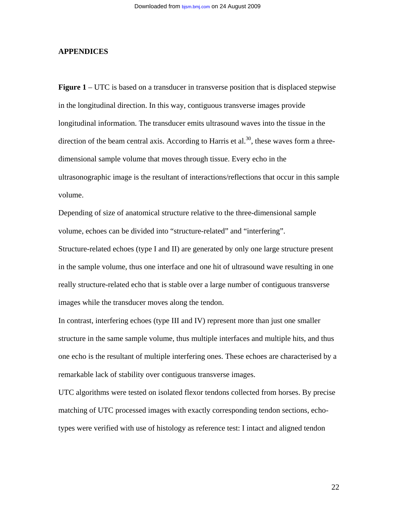# **APPENDICES**

**Figure 1** – UTC is based on a transducer in transverse position that is displaced stepwise in the longitudinal direction. In this way, contiguous transverse images provide longitudinal information. The transducer emits ultrasound waves into the tissue in the direction of the beam central axis. According to Harris et al.<sup>30</sup>, these waves form a threedimensional sample volume that moves through tissue. Every echo in the ultrasonographic image is the resultant of interactions/reflections that occur in this sample volume.

Depending of size of anatomical structure relative to the three-dimensional sample volume, echoes can be divided into "structure-related" and "interfering". Structure-related echoes (type I and II) are generated by only one large structure present in the sample volume, thus one interface and one hit of ultrasound wave resulting in one really structure-related echo that is stable over a large number of contiguous transverse

images while the transducer moves along the tendon.

In contrast, interfering echoes (type III and IV) represent more than just one smaller structure in the same sample volume, thus multiple interfaces and multiple hits, and thus one echo is the resultant of multiple interfering ones. These echoes are characterised by a remarkable lack of stability over contiguous transverse images.

UTC algorithms were tested on isolated flexor tendons collected from horses. By precise matching of UTC processed images with exactly corresponding tendon sections, echotypes were verified with use of histology as reference test: I intact and aligned tendon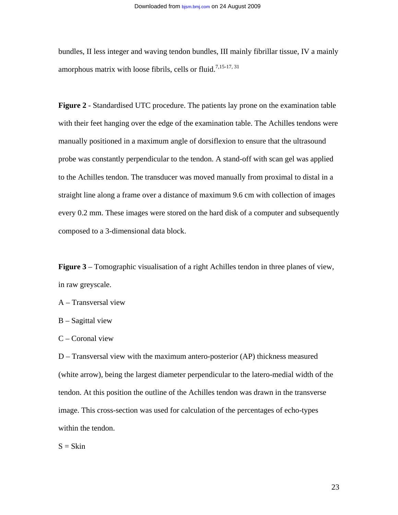bundles, II less integer and waving tendon bundles, III mainly fibrillar tissue, IV a mainly amorphous matrix with loose fibrils, cells or fluid.<sup>7,15-17,31</sup>

**Figure 2** - Standardised UTC procedure. The patients lay prone on the examination table with their feet hanging over the edge of the examination table. The Achilles tendons were manually positioned in a maximum angle of dorsiflexion to ensure that the ultrasound probe was constantly perpendicular to the tendon. A stand-off with scan gel was applied to the Achilles tendon. The transducer was moved manually from proximal to distal in a straight line along a frame over a distance of maximum 9.6 cm with collection of images every 0.2 mm. These images were stored on the hard disk of a computer and subsequently composed to a 3-dimensional data block.

**Figure 3** – Tomographic visualisation of a right Achilles tendon in three planes of view, in raw greyscale.

A – Transversal view

B – Sagittal view

C – Coronal view

D – Transversal view with the maximum antero-posterior (AP) thickness measured (white arrow), being the largest diameter perpendicular to the latero-medial width of the tendon. At this position the outline of the Achilles tendon was drawn in the transverse image. This cross-section was used for calculation of the percentages of echo-types within the tendon.

 $S = Skin$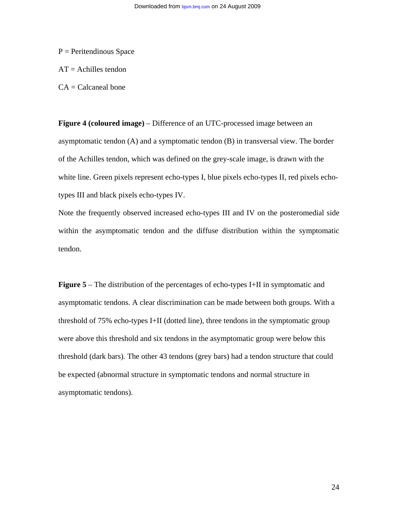- $P = Peritendinous Space$
- $AT =$  Achilles tendon
- $CA =$ Calcaneal bone

**Figure 4 (coloured image)** – Difference of an UTC-processed image between an asymptomatic tendon (A) and a symptomatic tendon (B) in transversal view. The border of the Achilles tendon, which was defined on the grey-scale image, is drawn with the white line. Green pixels represent echo-types I, blue pixels echo-types II, red pixels echotypes III and black pixels echo-types IV.

Note the frequently observed increased echo-types III and IV on the posteromedial side within the asymptomatic tendon and the diffuse distribution within the symptomatic tendon.

**Figure 5** – The distribution of the percentages of echo-types I+II in symptomatic and asymptomatic tendons. A clear discrimination can be made between both groups. With a threshold of 75% echo-types I+II (dotted line), three tendons in the symptomatic group were above this threshold and six tendons in the asymptomatic group were below this threshold (dark bars). The other 43 tendons (grey bars) had a tendon structure that could be expected (abnormal structure in symptomatic tendons and normal structure in asymptomatic tendons).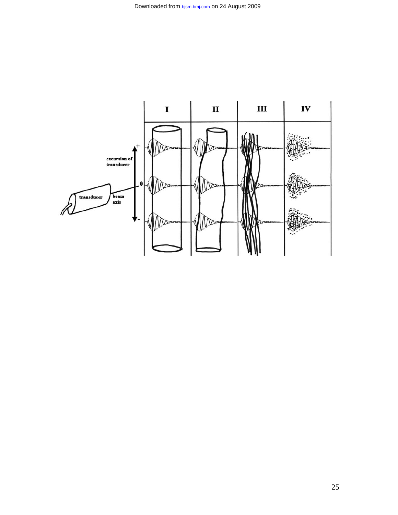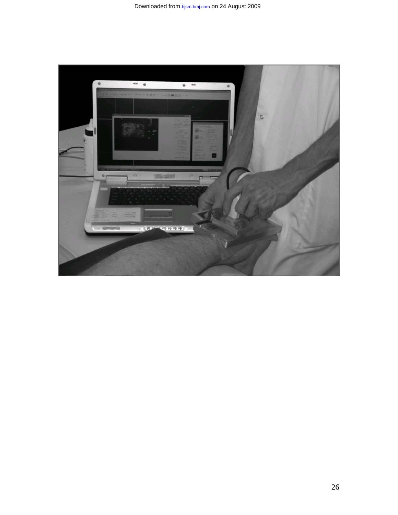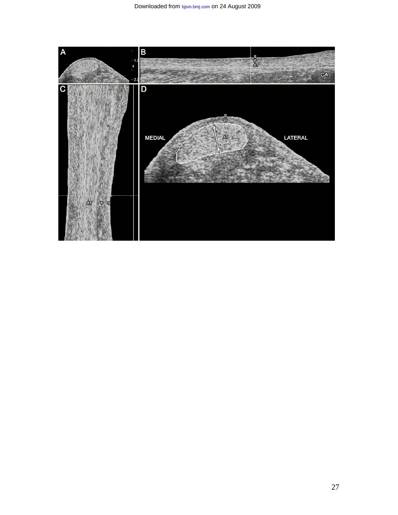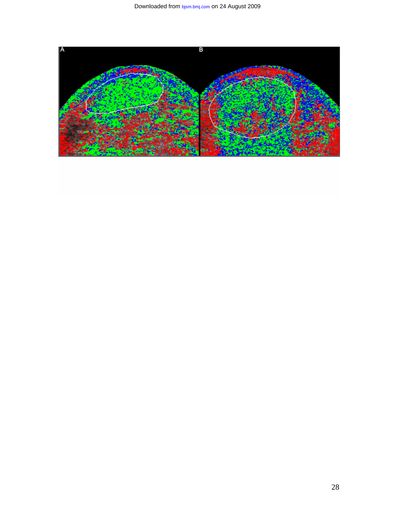